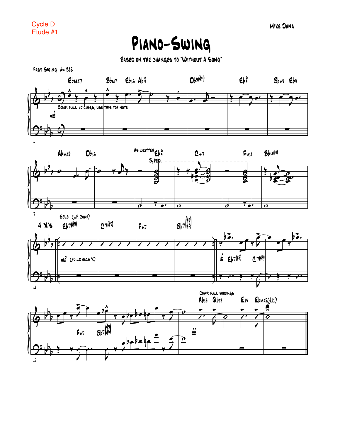## Piano-Swing

Based on the changes to "Without A Song"

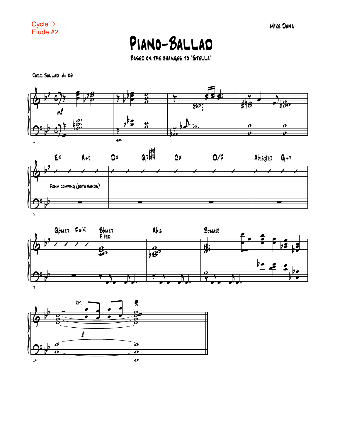Cycle D<br>Etude #2

PIANO-BALLAD

BASED ON THE CHANGES TO "STELLA"

 $JAZZ$  BALLAD  $d=66$